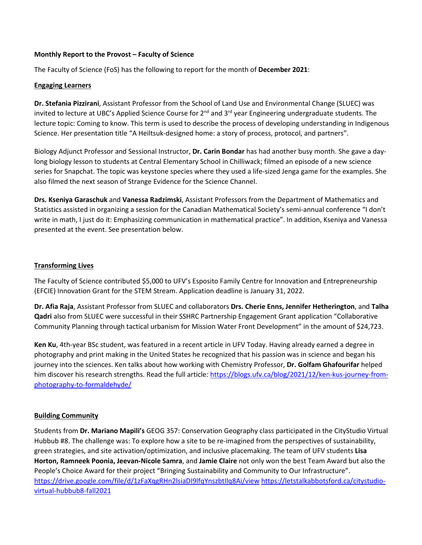### **Monthly Report to the Provost – Faculty of Science**

The Faculty of Science (FoS) has the following to report for the month of **December 2021**:

### **Engaging Learners**

**Dr. Stefania Pizzirani**, Assistant Professor from the School of Land Use and Environmental Change (SLUEC) was invited to lecture at UBC's Applied Science Course for  $2^{nd}$  and  $3^{rd}$  year Engineering undergraduate students. The lecture topic: Coming to know. This term is used to describe the process of developing understanding in Indigenous Science. Her presentation title "A Heiltsuk-designed home: a story of process, protocol, and partners".

Biology Adjunct Professor and Sessional Instructor, **Dr. Carin Bondar** has had another busy month. She gave a daylong biology lesson to students at Central Elementary School in Chilliwack; filmed an episode of a new science series for Snapchat. The topic was keystone species where they used a life-sized Jenga game for the examples. She also filmed the next season of Strange Evidence for the Science Channel.

**Drs. Kseniya Garaschuk** and **Vanessa Radzimski**, Assistant Professors from the Department of Mathematics and Statistics assisted in organizing a session for the Canadian Mathematical Society's semi-annual conference "I don't write in math, I just do it: Emphasizing communication in mathematical practice". In addition, Kseniya and Vanessa presented at the event. See presentation below.

# **Transforming Lives**

The Faculty of Science contributed \$5,000 to UFV's Esposito Family Centre for Innovation and Entrepreneurship (EFCIE) Innovation Grant for the STEM Stream. Application deadline is January 31, 2022.

**Dr. Afia Raja**, Assistant Professor from SLUEC and collaborators **Drs. Cherie Enns, Jennifer Hetherington**, and **Talha Qadri** also from SLUEC were successful in their SSHRC Partnership Engagement Grant application "Collaborative Community Planning through tactical urbanism for Mission Water Front Development" in the amount of \$24,723.

**Ken Ku**, 4th-year BSc student, was featured in a recent article in UFV Today. Having already earned a degree in photography and print making in the United States he recognized that his passion was in science and began his journey into the sciences. Ken talks about how working with Chemistry Professor, **Dr. Golfam Ghafourifar** helped him discover his research strengths. Read the full article: [https://blogs.ufv.ca/blog/2021/12/ken-kus-journey-from](https://blogs.ufv.ca/blog/2021/12/ken-kus-journey-from-photography-to-formaldehyde/)[photography-to-formaldehyde/](https://blogs.ufv.ca/blog/2021/12/ken-kus-journey-from-photography-to-formaldehyde/)

# **Building Community**

Students from **Dr. Mariano Mapili's** GEOG 357: Conservation Geography class participated in the CityStudio Virtual Hubbub #8. The challenge was: To explore how a site to be re-imagined from the perspectives of sustainability, green strategies, and site activation/optimization, and inclusive placemaking. The team of UFV students **Lisa Horton, Ramneek Poonia, Jeevan-Nicole Samra**, and **Jamie Claire** not only won the best Team Award but also the People's Choice Award for their project "Bringing Sustainability and Community to Our Infrastructure". <https://drive.google.com/file/d/1zFaXqgRHn2lsiaDI9lfqYnszbtIlq8Ai/view> [https://letstalkabbotsford.ca/citystudio](https://letstalkabbotsford.ca/citystudio-virtual-hubbub8-fall2021)[virtual-hubbub8-fall2021](https://letstalkabbotsford.ca/citystudio-virtual-hubbub8-fall2021)